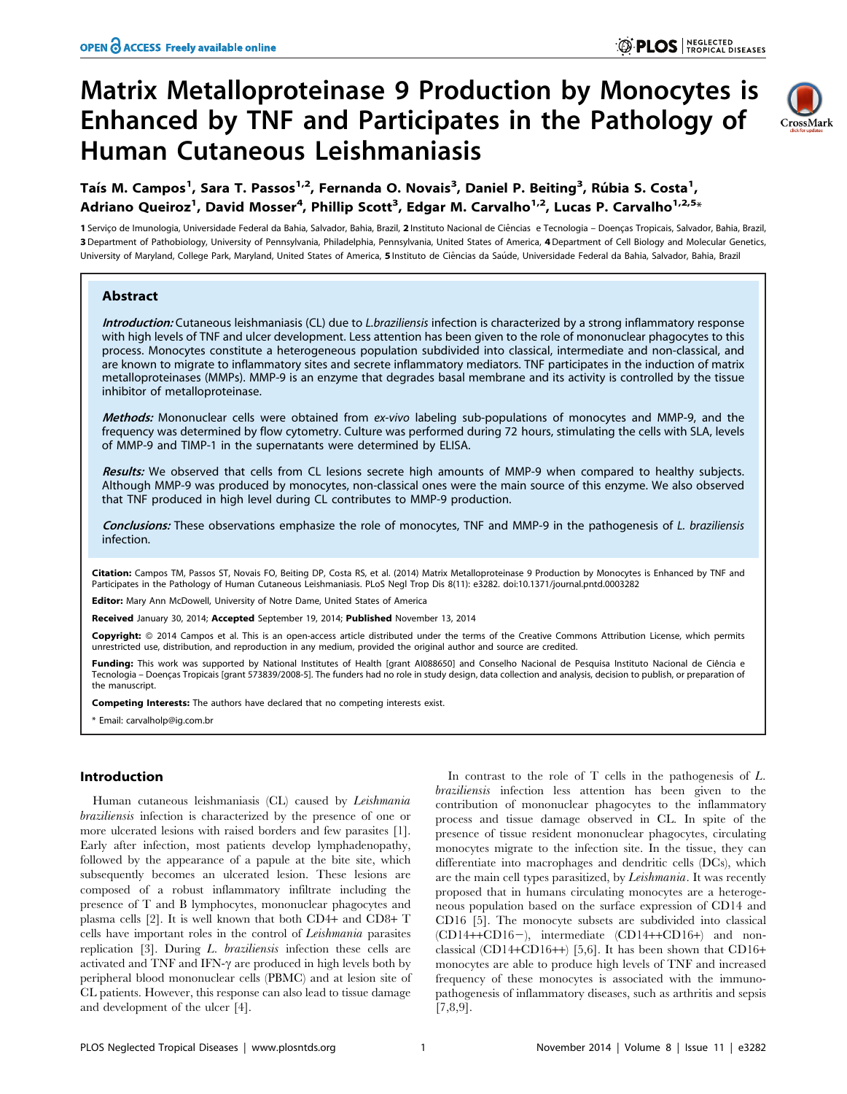# Matrix Metalloproteinase 9 Production by Monocytes is Enhanced by TNF and Participates in the Pathology of Human Cutaneous Leishmaniasis



Taís M. Campos<sup>1</sup>, Sara T. Passos<sup>1,2</sup>, Fernanda O. Novais<sup>3</sup>, Daniel P. Beiting<sup>3</sup>, Rúbia S. Costa<sup>1</sup>, Adriano Queiroz<sup>1</sup>, David Mosser<sup>4</sup>, Phillip Scott<sup>3</sup>, Edgar M. Carvalho<sup>1,2</sup>, Lucas P. Carvalho<sup>1,2,5</sup>\*

1 Serviço de Imunologia, Universidade Federal da Bahia, Salvador, Bahia, Brazil, 2 Instituto Nacional de Ciências e Tecnologia – Doenças Tropicais, Salvador, Bahia, Brazil, 3 Department of Pathobiology, University of Pennsylvania, Philadelphia, Pennsylvania, United States of America, 4 Department of Cell Biology and Molecular Genetics, University of Maryland, College Park, Maryland, United States of America, 5 Instituto de Ciências da Saúde, Universidade Federal da Bahia, Salvador, Bahia, Brazil

## Abstract

Introduction: Cutaneous leishmaniasis (CL) due to L.braziliensis infection is characterized by a strong inflammatory response with high levels of TNF and ulcer development. Less attention has been given to the role of mononuclear phagocytes to this process. Monocytes constitute a heterogeneous population subdivided into classical, intermediate and non-classical, and are known to migrate to inflammatory sites and secrete inflammatory mediators. TNF participates in the induction of matrix metalloproteinases (MMPs). MMP-9 is an enzyme that degrades basal membrane and its activity is controlled by the tissue inhibitor of metalloproteinase.

Methods: Mononuclear cells were obtained from ex-vivo labeling sub-populations of monocytes and MMP-9, and the frequency was determined by flow cytometry. Culture was performed during 72 hours, stimulating the cells with SLA, levels of MMP-9 and TIMP-1 in the supernatants were determined by ELISA.

Results: We observed that cells from CL lesions secrete high amounts of MMP-9 when compared to healthy subjects. Although MMP-9 was produced by monocytes, non-classical ones were the main source of this enzyme. We also observed that TNF produced in high level during CL contributes to MMP-9 production.

Conclusions: These observations emphasize the role of monocytes, TNF and MMP-9 in the pathogenesis of L. braziliensis infection.

Citation: Campos TM, Passos ST, Novais FO, Beiting DP, Costa RS, et al. (2014) Matrix Metalloproteinase 9 Production by Monocytes is Enhanced by TNF and Participates in the Pathology of Human Cutaneous Leishmaniasis. PLoS Negl Trop Dis 8(11): e3282. doi:10.1371/journal.pntd.0003282

Editor: Mary Ann McDowell, University of Notre Dame, United States of America

Received January 30, 2014; Accepted September 19, 2014; Published November 13, 2014

Copyright: © 2014 Campos et al. This is an open-access article distributed under the terms of the [Creative Commons Attribution License,](http://creativecommons.org/licenses/by/4.0/) which permits unrestricted use, distribution, and reproduction in any medium, provided the original author and source are credited.

Funding: This work was supported by National Institutes of Health [grant AI088650] and Conselho Nacional de Pesquisa Instituto Nacional de Ciência e Tecnologia – Doenças Tropicais [grant 573839/2008-5]. The funders had no role in study design, data collection and analysis, decision to publish, or preparation of the manuscript.

Competing Interests: The authors have declared that no competing interests exist.

\* Email: carvalholp@ig.com.br

# Introduction

Human cutaneous leishmaniasis (CL) caused by Leishmania braziliensis infection is characterized by the presence of one or more ulcerated lesions with raised borders and few parasites [1]. Early after infection, most patients develop lymphadenopathy, followed by the appearance of a papule at the bite site, which subsequently becomes an ulcerated lesion. These lesions are composed of a robust inflammatory infiltrate including the presence of T and B lymphocytes, mononuclear phagocytes and plasma cells [2]. It is well known that both CD4+ and CD8+ T cells have important roles in the control of Leishmania parasites replication [3]. During L. braziliensis infection these cells are activated and TNF and IFN- $\gamma$  are produced in high levels both by peripheral blood mononuclear cells (PBMC) and at lesion site of CL patients. However, this response can also lead to tissue damage and development of the ulcer [4].

In contrast to the role of  $T$  cells in the pathogenesis of  $L$ . braziliensis infection less attention has been given to the contribution of mononuclear phagocytes to the inflammatory process and tissue damage observed in CL. In spite of the presence of tissue resident mononuclear phagocytes, circulating monocytes migrate to the infection site. In the tissue, they can differentiate into macrophages and dendritic cells (DCs), which are the main cell types parasitized, by Leishmania. It was recently proposed that in humans circulating monocytes are a heterogeneous population based on the surface expression of CD14 and CD16 [5]. The monocyte subsets are subdivided into classical  $(CD14+CD16-)$ , intermediate  $(CD14+CD16+)$  and nonclassical (CD14+CD16++) [5,6]. It has been shown that CD16+ monocytes are able to produce high levels of TNF and increased frequency of these monocytes is associated with the immunopathogenesis of inflammatory diseases, such as arthritis and sepsis [7,8,9].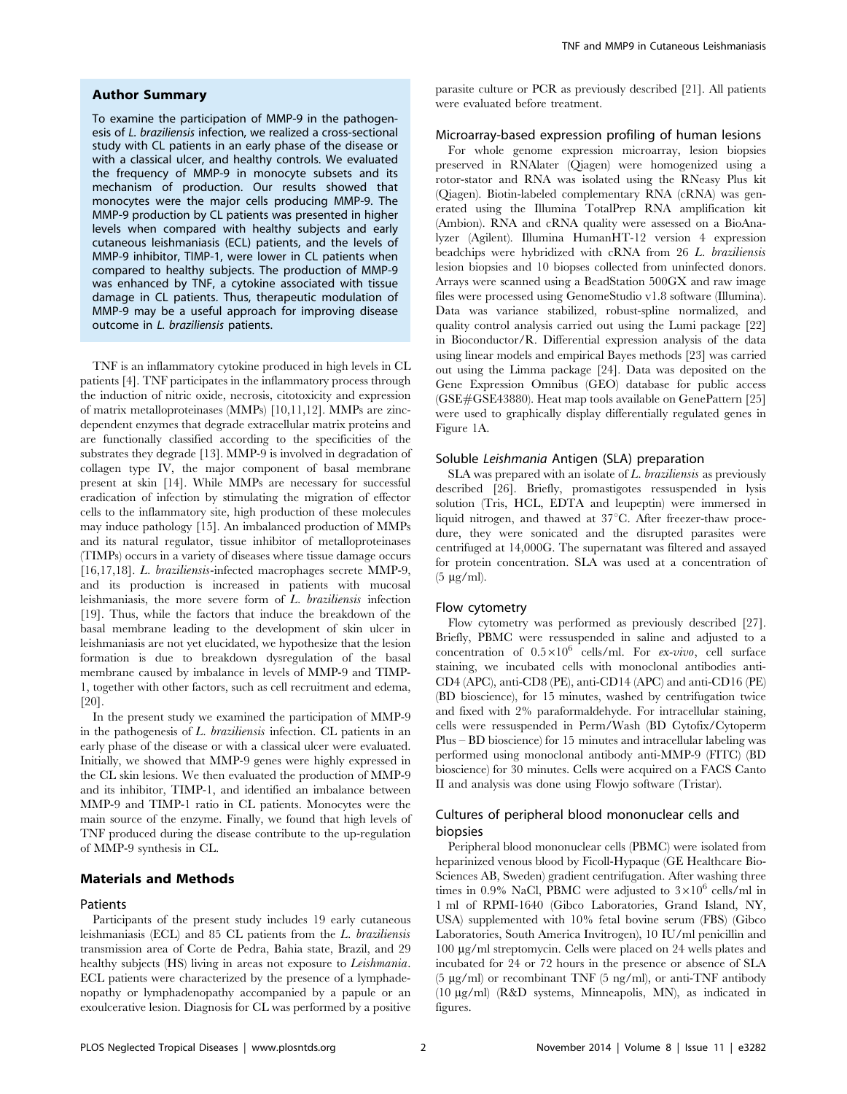# Author Summary

To examine the participation of MMP-9 in the pathogenesis of L. braziliensis infection, we realized a cross-sectional study with CL patients in an early phase of the disease or with a classical ulcer, and healthy controls. We evaluated the frequency of MMP-9 in monocyte subsets and its mechanism of production. Our results showed that monocytes were the major cells producing MMP-9. The MMP-9 production by CL patients was presented in higher levels when compared with healthy subjects and early cutaneous leishmaniasis (ECL) patients, and the levels of MMP-9 inhibitor, TIMP-1, were lower in CL patients when compared to healthy subjects. The production of MMP-9 was enhanced by TNF, a cytokine associated with tissue damage in CL patients. Thus, therapeutic modulation of MMP-9 may be a useful approach for improving disease outcome in L. braziliensis patients.

TNF is an inflammatory cytokine produced in high levels in CL patients [4]. TNF participates in the inflammatory process through the induction of nitric oxide, necrosis, citotoxicity and expression of matrix metalloproteinases (MMPs) [10,11,12]. MMPs are zincdependent enzymes that degrade extracellular matrix proteins and are functionally classified according to the specificities of the substrates they degrade [13]. MMP-9 is involved in degradation of collagen type IV, the major component of basal membrane present at skin [14]. While MMPs are necessary for successful eradication of infection by stimulating the migration of effector cells to the inflammatory site, high production of these molecules may induce pathology [15]. An imbalanced production of MMPs and its natural regulator, tissue inhibitor of metalloproteinases (TIMPs) occurs in a variety of diseases where tissue damage occurs [16,17,18]. L. braziliensis-infected macrophages secrete MMP-9, and its production is increased in patients with mucosal leishmaniasis, the more severe form of L. braziliensis infection [19]. Thus, while the factors that induce the breakdown of the basal membrane leading to the development of skin ulcer in leishmaniasis are not yet elucidated, we hypothesize that the lesion formation is due to breakdown dysregulation of the basal membrane caused by imbalance in levels of MMP-9 and TIMP-1, together with other factors, such as cell recruitment and edema, [20].

In the present study we examined the participation of MMP-9 in the pathogenesis of L. braziliensis infection. CL patients in an early phase of the disease or with a classical ulcer were evaluated. Initially, we showed that MMP-9 genes were highly expressed in the CL skin lesions. We then evaluated the production of MMP-9 and its inhibitor, TIMP-1, and identified an imbalance between MMP-9 and TIMP-1 ratio in CL patients. Monocytes were the main source of the enzyme. Finally, we found that high levels of TNF produced during the disease contribute to the up-regulation of MMP-9 synthesis in CL.

## Materials and Methods

## Patients

Participants of the present study includes 19 early cutaneous leishmaniasis (ECL) and 85 CL patients from the L. braziliensis transmission area of Corte de Pedra, Bahia state, Brazil, and 29 healthy subjects (HS) living in areas not exposure to Leishmania. ECL patients were characterized by the presence of a lymphadenopathy or lymphadenopathy accompanied by a papule or an exoulcerative lesion. Diagnosis for CL was performed by a positive parasite culture or PCR as previously described [21]. All patients were evaluated before treatment.

## Microarray-based expression profiling of human lesions

For whole genome expression microarray, lesion biopsies preserved in RNAlater (Qiagen) were homogenized using a rotor-stator and RNA was isolated using the RNeasy Plus kit (Qiagen). Biotin-labeled complementary RNA (cRNA) was generated using the Illumina TotalPrep RNA amplification kit (Ambion). RNA and cRNA quality were assessed on a BioAnalyzer (Agilent). Illumina HumanHT-12 version 4 expression beadchips were hybridized with cRNA from 26 L. braziliensis lesion biopsies and 10 biopses collected from uninfected donors. Arrays were scanned using a BeadStation 500GX and raw image files were processed using GenomeStudio v1.8 software (Illumina). Data was variance stabilized, robust-spline normalized, and quality control analysis carried out using the Lumi package [22] in Bioconductor/R. Differential expression analysis of the data using linear models and empirical Bayes methods [23] was carried out using the Limma package [24]. Data was deposited on the Gene Expression Omnibus (GEO) database for public access (GSE#GSE43880). Heat map tools available on GenePattern [25] were used to graphically display differentially regulated genes in Figure 1A.

## Soluble Leishmania Antigen (SLA) preparation

SLA was prepared with an isolate of L. braziliensis as previously described [26]. Briefly, promastigotes ressuspended in lysis solution (Tris, HCL, EDTA and leupeptin) were immersed in liquid nitrogen, and thawed at  $37^{\circ}$ C. After freezer-thaw procedure, they were sonicated and the disrupted parasites were centrifuged at 14,000G. The supernatant was filtered and assayed for protein concentration. SLA was used at a concentration of  $(5 \ \mu g/ml)$ .

#### Flow cytometry

Flow cytometry was performed as previously described [27]. Briefly, PBMC were ressuspended in saline and adjusted to a concentration of  $0.5 \times 10^6$  cells/ml. For ex-vivo, cell surface staining, we incubated cells with monoclonal antibodies anti-CD4 (APC), anti-CD8 (PE), anti-CD14 (APC) and anti-CD16 (PE) (BD bioscience), for 15 minutes, washed by centrifugation twice and fixed with 2% paraformaldehyde. For intracellular staining, cells were ressuspended in Perm/Wash (BD Cytofix/Cytoperm Plus – BD bioscience) for 15 minutes and intracellular labeling was performed using monoclonal antibody anti-MMP-9 (FITC) (BD bioscience) for 30 minutes. Cells were acquired on a FACS Canto II and analysis was done using Flowjo software (Tristar).

# Cultures of peripheral blood mononuclear cells and biopsies

Peripheral blood mononuclear cells (PBMC) were isolated from heparinized venous blood by Ficoll-Hypaque (GE Healthcare Bio-Sciences AB, Sweden) gradient centrifugation. After washing three times in 0.9% NaCl, PBMC were adjusted to  $3\times10^6$  cells/ml in 1 ml of RPMI-1640 (Gibco Laboratories, Grand Island, NY, USA) supplemented with 10% fetal bovine serum (FBS) (Gibco Laboratories, South America Invitrogen), 10 IU/ml penicillin and 100 mg/ml streptomycin. Cells were placed on 24 wells plates and incubated for 24 or 72 hours in the presence or absence of SLA (5  $\mu$ g/ml) or recombinant TNF (5 ng/ml), or anti-TNF antibody (10 mg/ml) (R&D systems, Minneapolis, MN), as indicated in figures.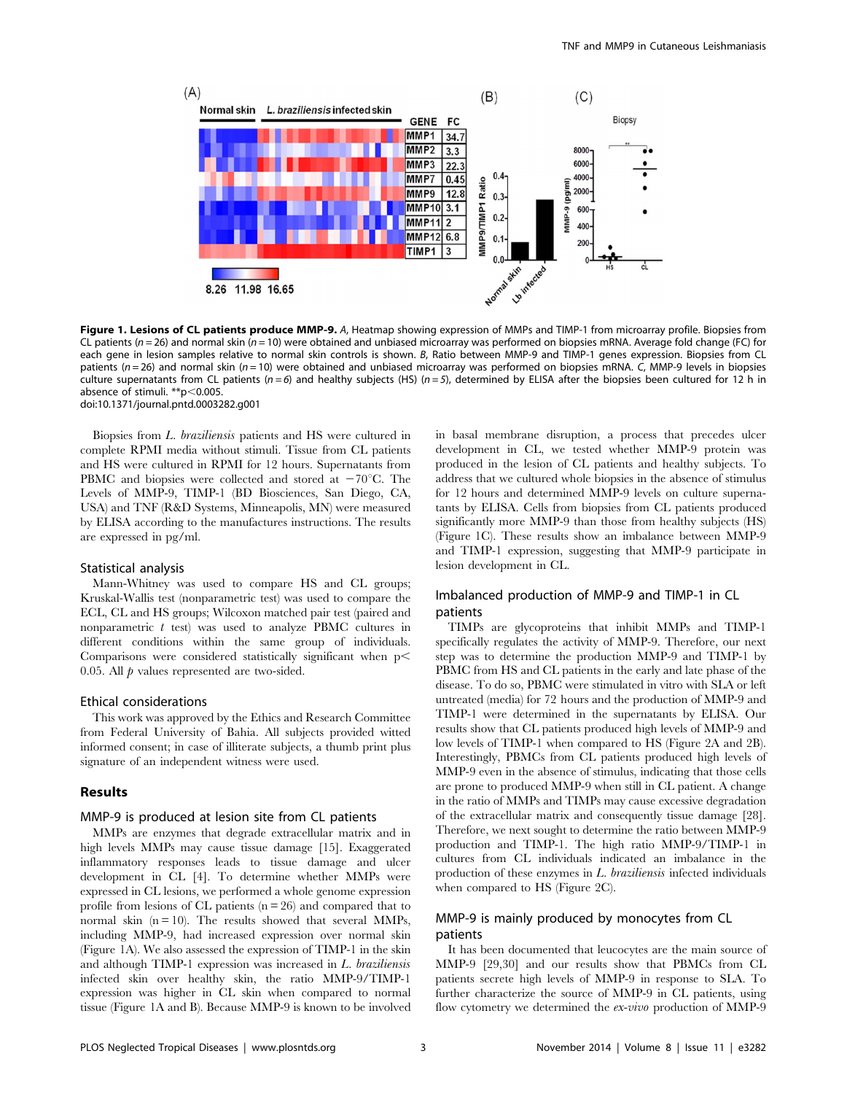

Figure 1. Lesions of CL patients produce MMP-9. A, Heatmap showing expression of MMPs and TIMP-1 from microarray profile. Biopsies from CL patients ( $n = 26$ ) and normal skin ( $n = 10$ ) were obtained and unbiased microarray was performed on biopsies mRNA. Average fold change (FC) for each gene in lesion samples relative to normal skin controls is shown. B, Ratio between MMP-9 and TIMP-1 genes expression. Biopsies from CL patients ( $n = 26$ ) and normal skin ( $n = 10$ ) were obtained and unbiased microarray was performed on biopsies mRNA. C, MMP-9 levels in biopsies culture supernatants from CL patients ( $n=6$ ) and healthy subjects (HS) ( $n=5$ ), determined by ELISA after the biopsies been cultured for 12 h in absence of stimuli.  $*p<0.005$ . doi:10.1371/journal.pntd.0003282.g001

Biopsies from L. braziliensis patients and HS were cultured in complete RPMI media without stimuli. Tissue from CL patients and HS were cultured in RPMI for 12 hours. Supernatants from PBMC and biopsies were collected and stored at  $-70^{\circ}$ C. The Levels of MMP-9, TIMP-1 (BD Biosciences, San Diego, CA, USA) and TNF (R&D Systems, Minneapolis, MN) were measured by ELISA according to the manufactures instructions. The results are expressed in pg/ml.

#### Statistical analysis

Mann-Whitney was used to compare HS and CL groups; Kruskal-Wallis test (nonparametric test) was used to compare the ECL, CL and HS groups; Wilcoxon matched pair test (paired and nonparametric  $t$  test) was used to analyze PBMC cultures in different conditions within the same group of individuals. Comparisons were considered statistically significant when  $p<$ 0.05. All  $p$  values represented are two-sided.

#### Ethical considerations

This work was approved by the Ethics and Research Committee from Federal University of Bahia. All subjects provided witted informed consent; in case of illiterate subjects, a thumb print plus signature of an independent witness were used.

#### Results

# MMP-9 is produced at lesion site from CL patients

MMPs are enzymes that degrade extracellular matrix and in high levels MMPs may cause tissue damage [15]. Exaggerated inflammatory responses leads to tissue damage and ulcer development in CL [4]. To determine whether MMPs were expressed in CL lesions, we performed a whole genome expression profile from lesions of CL patients  $(n = 26)$  and compared that to normal skin  $(n = 10)$ . The results showed that several MMPs, including MMP-9, had increased expression over normal skin (Figure 1A). We also assessed the expression of TIMP-1 in the skin and although TIMP-1 expression was increased in L. braziliensis infected skin over healthy skin, the ratio MMP-9/TIMP-1 expression was higher in CL skin when compared to normal tissue (Figure 1A and B). Because MMP-9 is known to be involved in basal membrane disruption, a process that precedes ulcer development in CL, we tested whether MMP-9 protein was produced in the lesion of CL patients and healthy subjects. To address that we cultured whole biopsies in the absence of stimulus for 12 hours and determined MMP-9 levels on culture supernatants by ELISA. Cells from biopsies from CL patients produced significantly more MMP-9 than those from healthy subjects (HS) (Figure 1C). These results show an imbalance between MMP-9 and TIMP-1 expression, suggesting that MMP-9 participate in lesion development in CL.

# Imbalanced production of MMP-9 and TIMP-1 in CL patients

TIMPs are glycoproteins that inhibit MMPs and TIMP-1 specifically regulates the activity of MMP-9. Therefore, our next step was to determine the production MMP-9 and TIMP-1 by PBMC from HS and CL patients in the early and late phase of the disease. To do so, PBMC were stimulated in vitro with SLA or left untreated (media) for 72 hours and the production of MMP-9 and TIMP-1 were determined in the supernatants by ELISA. Our results show that CL patients produced high levels of MMP-9 and low levels of TIMP-1 when compared to HS (Figure 2A and 2B). Interestingly, PBMCs from CL patients produced high levels of MMP-9 even in the absence of stimulus, indicating that those cells are prone to produced MMP-9 when still in CL patient. A change in the ratio of MMPs and TIMPs may cause excessive degradation of the extracellular matrix and consequently tissue damage [28]. Therefore, we next sought to determine the ratio between MMP-9 production and TIMP-1. The high ratio MMP-9/TIMP-1 in cultures from CL individuals indicated an imbalance in the production of these enzymes in  $L$ . *braziliensis* infected individuals when compared to HS (Figure 2C).

# MMP-9 is mainly produced by monocytes from CL patients

It has been documented that leucocytes are the main source of MMP-9 [29,30] and our results show that PBMCs from CL patients secrete high levels of MMP-9 in response to SLA. To further characterize the source of MMP-9 in CL patients, using flow cytometry we determined the  $ex-vivo$  production of MMP-9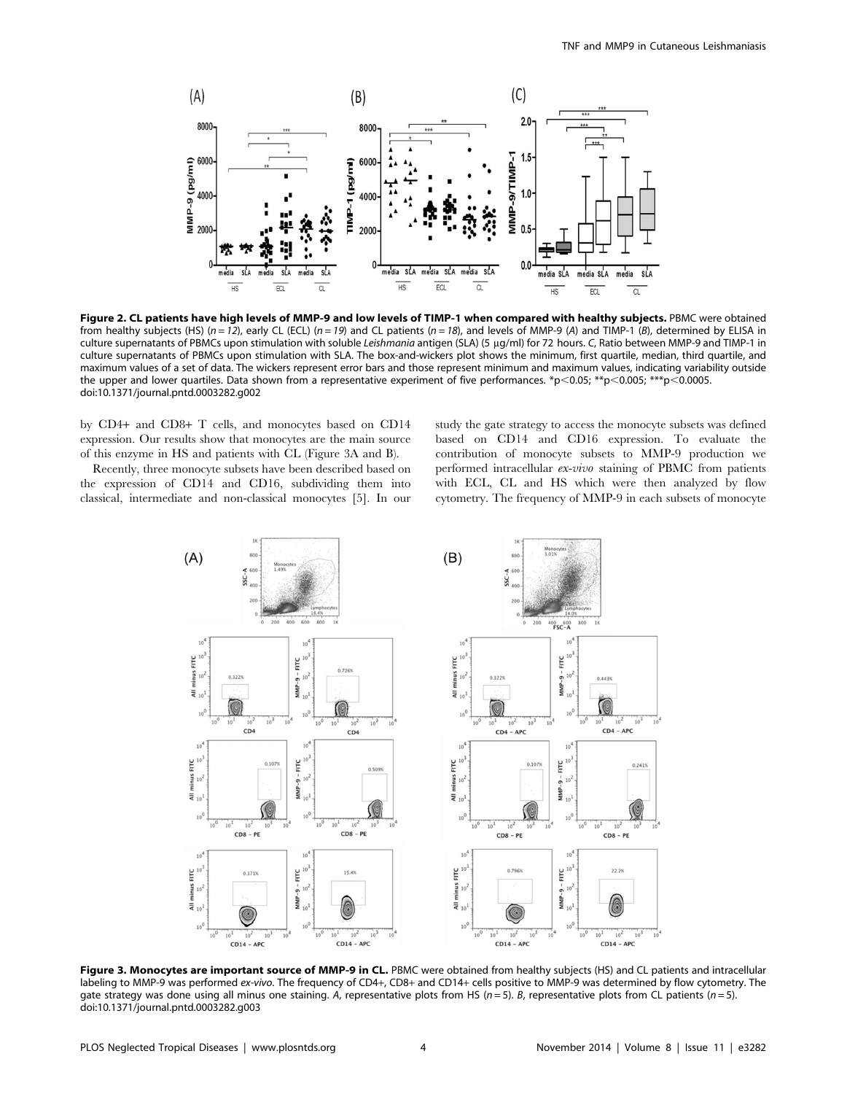

Figure 2. CL patients have high levels of MMP-9 and low levels of TIMP-1 when compared with healthy subjects. PBMC were obtained from healthy subjects (HS) ( $n = 12$ ), early CL (ECL) ( $n = 19$ ) and CL patients ( $n = 18$ ), and levels of MMP-9 (A) and TIMP-1 (B), determined by ELISA in culture supernatants of PBMCs upon stimulation with soluble Leishmania antigen (SLA) (5 µg/ml) for 72 hours. C, Ratio between MMP-9 and TIMP-1 in culture supernatants of PBMCs upon stimulation with SLA. The box-and-wickers plot shows the minimum, first quartile, median, third quartile, and maximum values of a set of data. The wickers represent error bars and those represent minimum and maximum values, indicating variability outside the upper and lower quartiles. Data shown from a representative experiment of five performances. \*p<0.05; \*\*p<0.005; \*\*\*p<0.0005. doi:10.1371/journal.pntd.0003282.g002

by CD4+ and CD8+ T cells, and monocytes based on CD14 expression. Our results show that monocytes are the main source of this enzyme in HS and patients with CL (Figure 3A and B).

Recently, three monocyte subsets have been described based on the expression of CD14 and CD16, subdividing them into classical, intermediate and non-classical monocytes [5]. In our study the gate strategy to access the monocyte subsets was defined based on CD14 and CD16 expression. To evaluate the contribution of monocyte subsets to MMP-9 production we performed intracellular ex-vivo staining of PBMC from patients with ECL, CL and HS which were then analyzed by flow cytometry. The frequency of MMP-9 in each subsets of monocyte



Figure 3. Monocytes are important source of MMP-9 in CL. PBMC were obtained from healthy subjects (HS) and CL patients and intracellular labeling to MMP-9 was performed ex-vivo. The frequency of CD4+, CD8+ and CD14+ cells positive to MMP-9 was determined by flow cytometry. The gate strategy was done using all minus one staining. A, representative plots from HS ( $n = 5$ ). B, representative plots from CL patients ( $n = 5$ ). doi:10.1371/journal.pntd.0003282.g003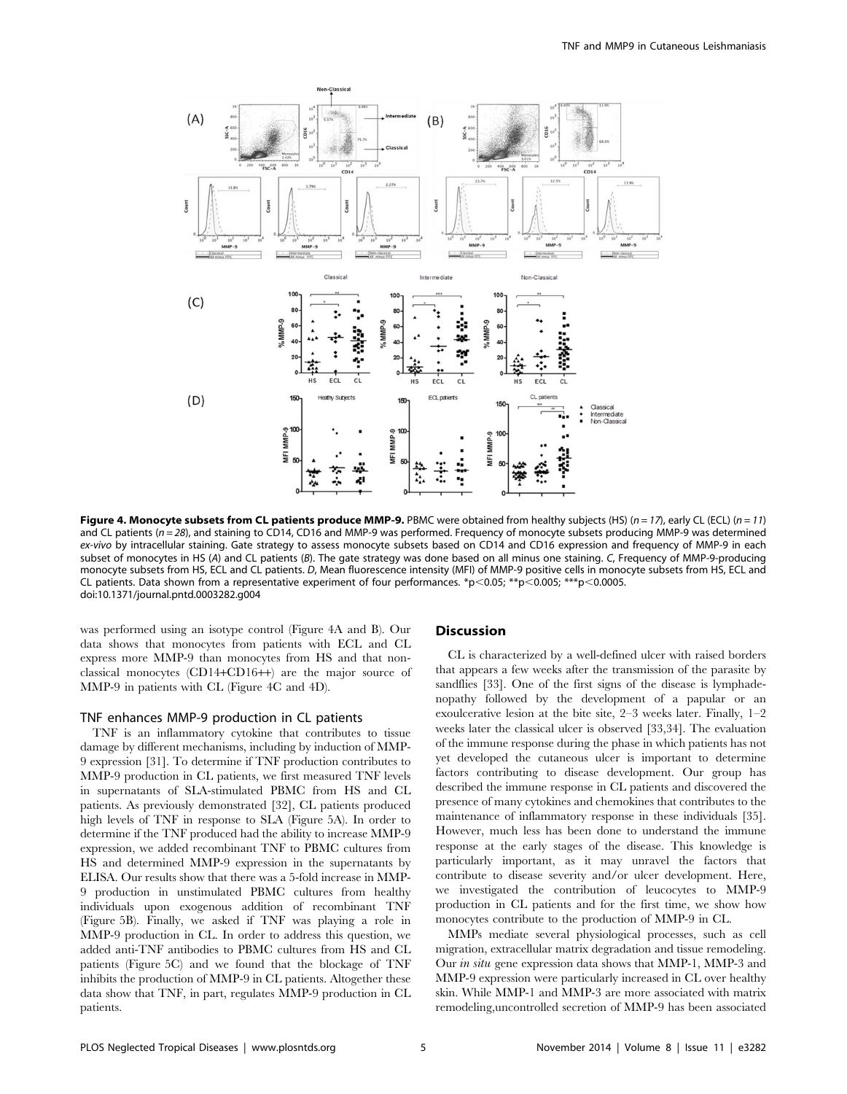

Figure 4. Monocyte subsets from CL patients produce MMP-9. PBMC were obtained from healthy subjects (HS) (n = 17), early CL (ECL) (n = 11) and CL patients (n = 28), and staining to CD14, CD16 and MMP-9 was performed. Frequency of monocyte subsets producing MMP-9 was determined ex-vivo by intracellular staining. Gate strategy to assess monocyte subsets based on CD14 and CD16 expression and frequency of MMP-9 in each subset of monocytes in HS (A) and CL patients (B). The gate strategy was done based on all minus one staining. C, Frequency of MMP-9-producing monocyte subsets from HS, ECL and CL patients. D, Mean fluorescence intensity (MFI) of MMP-9 positive cells in monocyte subsets from HS, ECL and CL patients. Data shown from a representative experiment of four performances. \*p<0.05; \*\*p<0.005; \*\*\*p<0.0005. doi:10.1371/journal.pntd.0003282.g004

was performed using an isotype control (Figure 4A and B). Our data shows that monocytes from patients with ECL and CL express more MMP-9 than monocytes from HS and that nonclassical monocytes (CD14+CD16++) are the major source of MMP-9 in patients with CL (Figure 4C and 4D).

## TNF enhances MMP-9 production in CL patients

TNF is an inflammatory cytokine that contributes to tissue damage by different mechanisms, including by induction of MMP-9 expression [31]. To determine if TNF production contributes to MMP-9 production in CL patients, we first measured TNF levels in supernatants of SLA-stimulated PBMC from HS and CL patients. As previously demonstrated [32], CL patients produced high levels of TNF in response to SLA (Figure 5A). In order to determine if the TNF produced had the ability to increase MMP-9 expression, we added recombinant TNF to PBMC cultures from HS and determined MMP-9 expression in the supernatants by ELISA. Our results show that there was a 5-fold increase in MMP-9 production in unstimulated PBMC cultures from healthy individuals upon exogenous addition of recombinant TNF (Figure 5B). Finally, we asked if TNF was playing a role in MMP-9 production in CL. In order to address this question, we added anti-TNF antibodies to PBMC cultures from HS and CL patients (Figure 5C) and we found that the blockage of TNF inhibits the production of MMP-9 in CL patients. Altogether these data show that TNF, in part, regulates MMP-9 production in CL patients.

# **Discussion**

CL is characterized by a well-defined ulcer with raised borders that appears a few weeks after the transmission of the parasite by sandflies [33]. One of the first signs of the disease is lymphadenopathy followed by the development of a papular or an exoulcerative lesion at the bite site, 2–3 weeks later. Finally, 1–2 weeks later the classical ulcer is observed [33,34]. The evaluation of the immune response during the phase in which patients has not yet developed the cutaneous ulcer is important to determine factors contributing to disease development. Our group has described the immune response in CL patients and discovered the presence of many cytokines and chemokines that contributes to the maintenance of inflammatory response in these individuals [35]. However, much less has been done to understand the immune response at the early stages of the disease. This knowledge is particularly important, as it may unravel the factors that contribute to disease severity and/or ulcer development. Here, we investigated the contribution of leucocytes to MMP-9 production in CL patients and for the first time, we show how monocytes contribute to the production of MMP-9 in CL.

MMPs mediate several physiological processes, such as cell migration, extracellular matrix degradation and tissue remodeling. Our in situ gene expression data shows that MMP-1, MMP-3 and MMP-9 expression were particularly increased in CL over healthy skin. While MMP-1 and MMP-3 are more associated with matrix remodeling,uncontrolled secretion of MMP-9 has been associated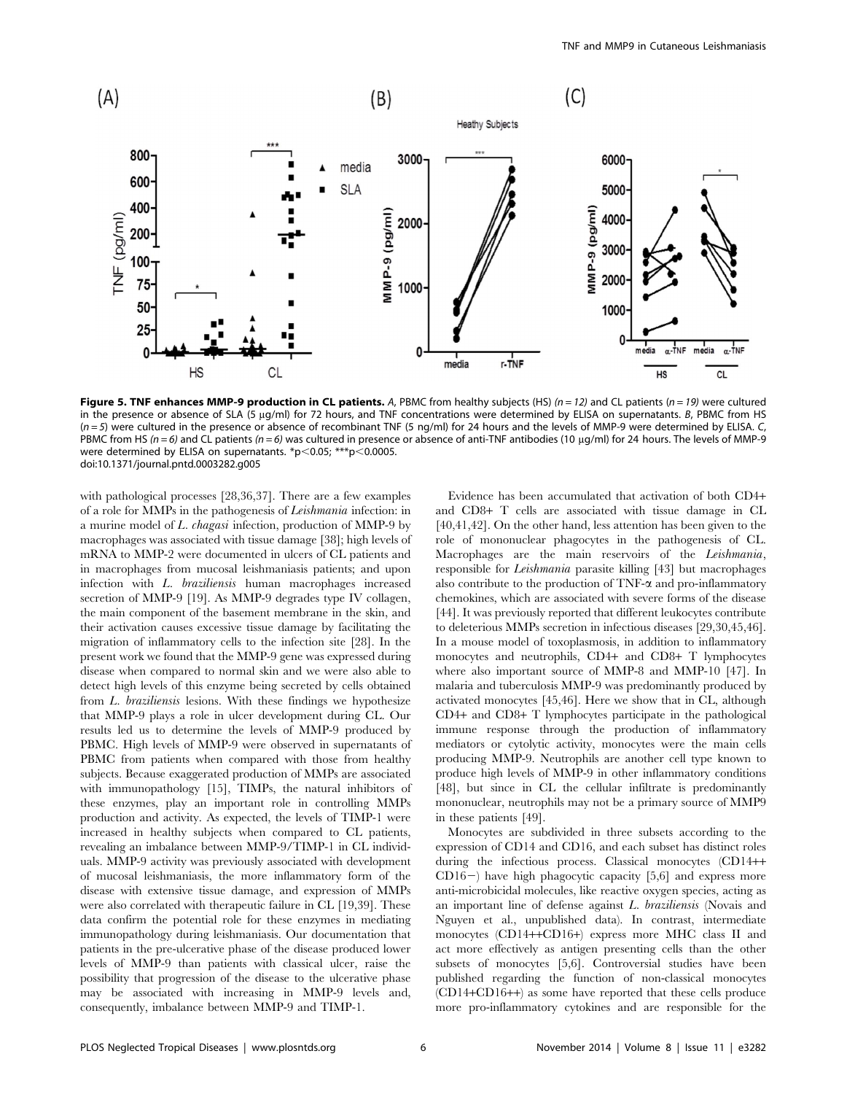

Figure 5. TNF enhances MMP-9 production in CL patients. A, PBMC from healthy subjects (HS)  $(n = 12)$  and CL patients  $(n = 19)$  were cultured in the presence or absence of SLA (5 µg/ml) for 72 hours, and TNF concentrations were determined by ELISA on supernatants. B, PBMC from HS  $(n=5)$  were cultured in the presence or absence of recombinant TNF (5 ng/ml) for 24 hours and the levels of MMP-9 were determined by ELISA. C, PBMC from HS ( $n = 6$ ) and CL patients ( $n = 6$ ) was cultured in presence or absence of anti-TNF antibodies (10 µg/ml) for 24 hours. The levels of MMP-9 were determined by ELISA on supernatants. \*p $<$ 0.05; \*\*\*p $<$ 0.0005. doi:10.1371/journal.pntd.0003282.g005

with pathological processes [28,36,37]. There are a few examples of a role for MMPs in the pathogenesis of Leishmania infection: in a murine model of L. chagasi infection, production of MMP-9 by macrophages was associated with tissue damage [38]; high levels of mRNA to MMP-2 were documented in ulcers of CL patients and in macrophages from mucosal leishmaniasis patients; and upon infection with L. braziliensis human macrophages increased secretion of MMP-9 [19]. As MMP-9 degrades type IV collagen, the main component of the basement membrane in the skin, and their activation causes excessive tissue damage by facilitating the migration of inflammatory cells to the infection site [28]. In the present work we found that the MMP-9 gene was expressed during disease when compared to normal skin and we were also able to detect high levels of this enzyme being secreted by cells obtained from L. braziliensis lesions. With these findings we hypothesize that MMP-9 plays a role in ulcer development during CL. Our results led us to determine the levels of MMP-9 produced by PBMC. High levels of MMP-9 were observed in supernatants of PBMC from patients when compared with those from healthy subjects. Because exaggerated production of MMPs are associated with immunopathology [15], TIMPs, the natural inhibitors of these enzymes, play an important role in controlling MMPs production and activity. As expected, the levels of TIMP-1 were increased in healthy subjects when compared to CL patients, revealing an imbalance between MMP-9/TIMP-1 in CL individuals. MMP-9 activity was previously associated with development of mucosal leishmaniasis, the more inflammatory form of the disease with extensive tissue damage, and expression of MMPs were also correlated with therapeutic failure in CL [19,39]. These data confirm the potential role for these enzymes in mediating immunopathology during leishmaniasis. Our documentation that patients in the pre-ulcerative phase of the disease produced lower levels of MMP-9 than patients with classical ulcer, raise the possibility that progression of the disease to the ulcerative phase may be associated with increasing in MMP-9 levels and, consequently, imbalance between MMP-9 and TIMP-1.

Evidence has been accumulated that activation of both CD4+ and CD8+ T cells are associated with tissue damage in CL [40,41,42]. On the other hand, less attention has been given to the role of mononuclear phagocytes in the pathogenesis of CL. Macrophages are the main reservoirs of the Leishmania, responsible for Leishmania parasite killing [43] but macrophages also contribute to the production of  $TNF-\alpha$  and pro-inflammatory chemokines, which are associated with severe forms of the disease [44]. It was previously reported that different leukocytes contribute to deleterious MMPs secretion in infectious diseases [29,30,45,46]. In a mouse model of toxoplasmosis, in addition to inflammatory monocytes and neutrophils, CD4+ and CD8+ T lymphocytes where also important source of MMP-8 and MMP-10 [47]. In malaria and tuberculosis MMP-9 was predominantly produced by activated monocytes [45,46]. Here we show that in CL, although CD4+ and CD8+ T lymphocytes participate in the pathological immune response through the production of inflammatory mediators or cytolytic activity, monocytes were the main cells producing MMP-9. Neutrophils are another cell type known to produce high levels of MMP-9 in other inflammatory conditions [48], but since in CL the cellular infiltrate is predominantly mononuclear, neutrophils may not be a primary source of MMP9 in these patients [49].

Monocytes are subdivided in three subsets according to the expression of CD14 and CD16, and each subset has distinct roles during the infectious process. Classical monocytes (CD14++  $CD16-$ ) have high phagocytic capacity [5,6] and express more anti-microbicidal molecules, like reactive oxygen species, acting as an important line of defense against L. braziliensis (Novais and Nguyen et al., unpublished data). In contrast, intermediate monocytes (CD14++CD16+) express more MHC class II and act more effectively as antigen presenting cells than the other subsets of monocytes [5,6]. Controversial studies have been published regarding the function of non-classical monocytes (CD14+CD16++) as some have reported that these cells produce more pro-inflammatory cytokines and are responsible for the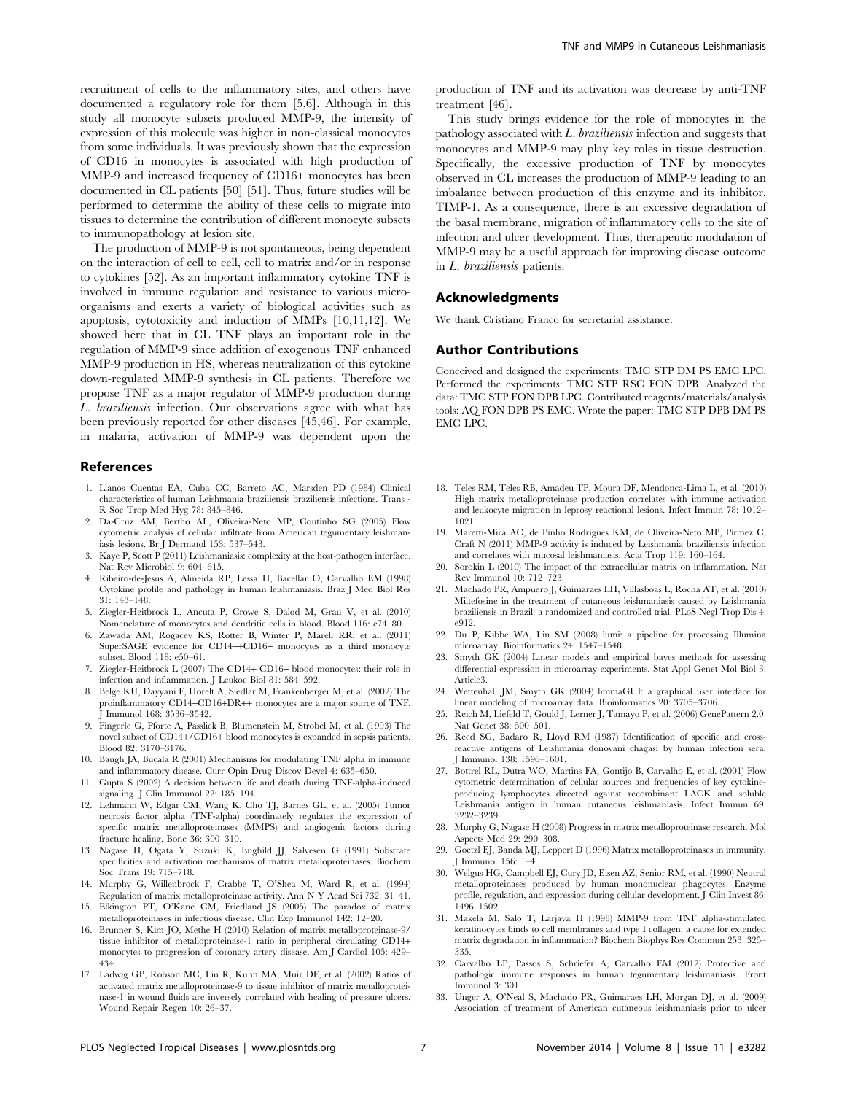recruitment of cells to the inflammatory sites, and others have documented a regulatory role for them [5,6]. Although in this study all monocyte subsets produced MMP-9, the intensity of expression of this molecule was higher in non-classical monocytes from some individuals. It was previously shown that the expression of CD16 in monocytes is associated with high production of MMP-9 and increased frequency of CD16+ monocytes has been documented in CL patients [50] [51]. Thus, future studies will be performed to determine the ability of these cells to migrate into tissues to determine the contribution of different monocyte subsets to immunopathology at lesion site.

The production of MMP-9 is not spontaneous, being dependent on the interaction of cell to cell, cell to matrix and/or in response to cytokines [52]. As an important inflammatory cytokine TNF is involved in immune regulation and resistance to various microorganisms and exerts a variety of biological activities such as apoptosis, cytotoxicity and induction of MMPs [10,11,12]. We showed here that in CL TNF plays an important role in the regulation of MMP-9 since addition of exogenous TNF enhanced MMP-9 production in HS, whereas neutralization of this cytokine down-regulated MMP-9 synthesis in CL patients. Therefore we propose TNF as a major regulator of MMP-9 production during L. braziliensis infection. Our observations agree with what has been previously reported for other diseases [45,46]. For example, in malaria, activation of MMP-9 was dependent upon the

#### References

- 1. Llanos Cuentas EA, Cuba CC, Barreto AC, Marsden PD (1984) Clinical characteristics of human Leishmania braziliensis braziliensis infections. Trans - R Soc Trop Med Hyg 78: 845–846.
- 2. Da-Cruz AM, Bertho AL, Oliveira-Neto MP, Coutinho SG (2005) Flow cytometric analysis of cellular infiltrate from American tegumentary leishmaniasis lesions. Br J Dermatol 153: 537–543.
- 3. Kaye P, Scott P (2011) Leishmaniasis: complexity at the host-pathogen interface. Nat Rev Microbiol 9: 604–615.
- 4. Ribeiro-de-Jesus A, Almeida RP, Lessa H, Bacellar O, Carvalho EM (1998) Cytokine profile and pathology in human leishmaniasis. Braz J Med Biol Res 31: 143–148.
- 5. Ziegler-Heitbrock L, Ancuta P, Crowe S, Dalod M, Grau V, et al. (2010) Nomenclature of monocytes and dendritic cells in blood. Blood 116: e74–80.
- 6. Zawada AM, Rogacev KS, Rotter B, Winter P, Marell RR, et al. (2011) SuperSAGE evidence for CD14++CD16+ monocytes as a third monocyte subset. Blood 118: e50–61.
- 7. Ziegler-Heitbrock L (2007) The CD14+ CD16+ blood monocytes: their role in infection and inflammation. J Leukoc Biol 81: 584–592.
- 8. Belge KU, Dayyani F, Horelt A, Siedlar M, Frankenberger M, et al. (2002) The proinflammatory CD14+CD16+DR++ monocytes are a major source of TNF. J Immunol 168: 3536–3542.
- 9. Fingerle G, Pforte A, Passlick B, Blumenstein M, Strobel M, et al. (1993) The novel subset of CD14+/CD16+ blood monocytes is expanded in sepsis patients. Blood 82: 3170–3176.
- 10. Baugh JA, Bucala R (2001) Mechanisms for modulating TNF alpha in immune and inflammatory disease. Curr Opin Drug Discov Devel 4: 635–650.
- 11. Gupta S (2002) A decision between life and death during TNF-alpha-induced signaling. J Clin Immunol 22: 185–194.
- 12. Lehmann W, Edgar CM, Wang K, Cho TJ, Barnes GL, et al. (2005) Tumor necrosis factor alpha (TNF-alpha) coordinately regulates the expression of specific matrix metalloproteinases (MMPS) and angiogenic factors during fracture healing. Bone 36: 300–310.
- 13. Nagase H, Ogata Y, Suzuki K, Enghild JJ, Salvesen G (1991) Substrate specificities and activation mechanisms of matrix metalloproteinases. Biochem Soc Trans 19: 715–718.
- 14. Murphy G, Willenbrock F, Crabbe T, O'Shea M, Ward R, et al. (1994) Regulation of matrix metalloproteinase activity. Ann N Y Acad Sci 732: 31–41.
- 15. Elkington PT, O'Kane CM, Friedland JS (2005) The paradox of matrix metalloproteinases in infectious disease. Clin Exp Immunol 142: 12–20.
- 16. Brunner S, Kim JO, Methe H (2010) Relation of matrix metalloproteinase-9/ tissue inhibitor of metalloproteinase-1 ratio in peripheral circulating CD14+ monocytes to progression of coronary artery disease. Am J Cardiol 105: 429– 434.
- 17. Ladwig GP, Robson MC, Liu R, Kuhn MA, Muir DF, et al. (2002) Ratios of activated matrix metalloproteinase-9 to tissue inhibitor of matrix metalloproteinase-1 in wound fluids are inversely correlated with healing of pressure ulcers. Wound Repair Regen 10: 26–37.

production of TNF and its activation was decrease by anti-TNF treatment [46].

This study brings evidence for the role of monocytes in the pathology associated with L. braziliensis infection and suggests that monocytes and MMP-9 may play key roles in tissue destruction. Specifically, the excessive production of TNF by monocytes observed in CL increases the production of MMP-9 leading to an imbalance between production of this enzyme and its inhibitor, TIMP-1. As a consequence, there is an excessive degradation of the basal membrane, migration of inflammatory cells to the site of infection and ulcer development. Thus, therapeutic modulation of MMP-9 may be a useful approach for improving disease outcome in L. braziliensis patients.

## Acknowledgments

We thank Cristiano Franco for secretarial assistance.

#### Author Contributions

Conceived and designed the experiments: TMC STP DM PS EMC LPC. Performed the experiments: TMC STP RSC FON DPB. Analyzed the data: TMC STP FON DPB LPC. Contributed reagents/materials/analysis tools: AQ FON DPB PS EMC. Wrote the paper: TMC STP DPB DM PS EMC LPC.

- 18. Teles RM, Teles RB, Amadeu TP, Moura DF, Mendonca-Lima L, et al. (2010) High matrix metalloproteinase production correlates with immune activation and leukocyte migration in leprosy reactional lesions. Infect Immun 78: 1012– 1021.
- 19. Maretti-Mira AC, de Pinho Rodrigues KM, de Oliveira-Neto MP, Pirmez C, Craft N (2011) MMP-9 activity is induced by Leishmania braziliensis infection and correlates with mucosal leishmaniasis. Acta Trop 119: 160–164.
- 20. Sorokin L (2010) The impact of the extracellular matrix on inflammation. Nat Rev Immunol 10: 712–723.
- 21. Machado PR, Ampuero J, Guimaraes LH, Villasboas L, Rocha AT, et al. (2010) Miltefosine in the treatment of cutaneous leishmaniasis caused by Leishmania braziliensis in Brazil: a randomized and controlled trial. PLoS Negl Trop Dis 4: e912.
- 22. Du P, Kibbe WA, Lin SM (2008) lumi: a pipeline for processing Illumina microarray. Bioinformatics 24: 1547–1548.
- 23. Smyth GK (2004) Linear models and empirical bayes methods for assessing differential expression in microarray experiments. Stat Appl Genet Mol Biol 3: Article3.
- 24. Wettenhall JM, Smyth GK (2004) limmaGUI: a graphical user interface for linear modeling of microarray data. Bioinformatics 20: 3705–3706.
- 25. Reich M, Liefeld T, Gould J, Lerner J, Tamayo P, et al. (2006) GenePattern 2.0. Nat Genet 38: 500–501.
- 26. Reed SG, Badaro R, Lloyd RM (1987) Identification of specific and crossreactive antigens of Leishmania donovani chagasi by human infection sera. J Immunol 138: 1596–1601.
- 27. Bottrel RL, Dutra WO, Martins FA, Gontijo B, Carvalho E, et al. (2001) Flow cytometric determination of cellular sources and frequencies of key cytokineproducing lymphocytes directed against recombinant LACK and soluble Leishmania antigen in human cutaneous leishmaniasis. Infect Immun 69: 3232–3239.
- 28. Murphy G, Nagase H (2008) Progress in matrix metalloproteinase research. Mol Aspects Med 29: 290–308.
- 29. Goetzl EJ, Banda MJ, Leppert D (1996) Matrix metalloproteinases in immunity. J Immunol 156: 1–4.
- 30. Welgus HG, Campbell EJ, Cury JD, Eisen AZ, Senior RM, et al. (1990) Neutral metalloproteinases produced by human mononuclear phagocytes. Enzyme profile, regulation, and expression during cellular development. J Clin Invest 86: 1496–1502.
- 31. Makela M, Salo T, Larjava H (1998) MMP-9 from TNF alpha-stimulated keratinocytes binds to cell membranes and type I collagen: a cause for extended matrix degradation in inflammation? Biochem Biophys Res Commun 253: 325– 335.
- 32. Carvalho LP, Passos S, Schriefer A, Carvalho EM (2012) Protective and pathologic immune responses in human tegumentary leishmaniasis. Front Immunol 3: 301.
- 33. Unger A, O'Neal S, Machado PR, Guimaraes LH, Morgan DJ, et al. (2009) Association of treatment of American cutaneous leishmaniasis prior to ulcer